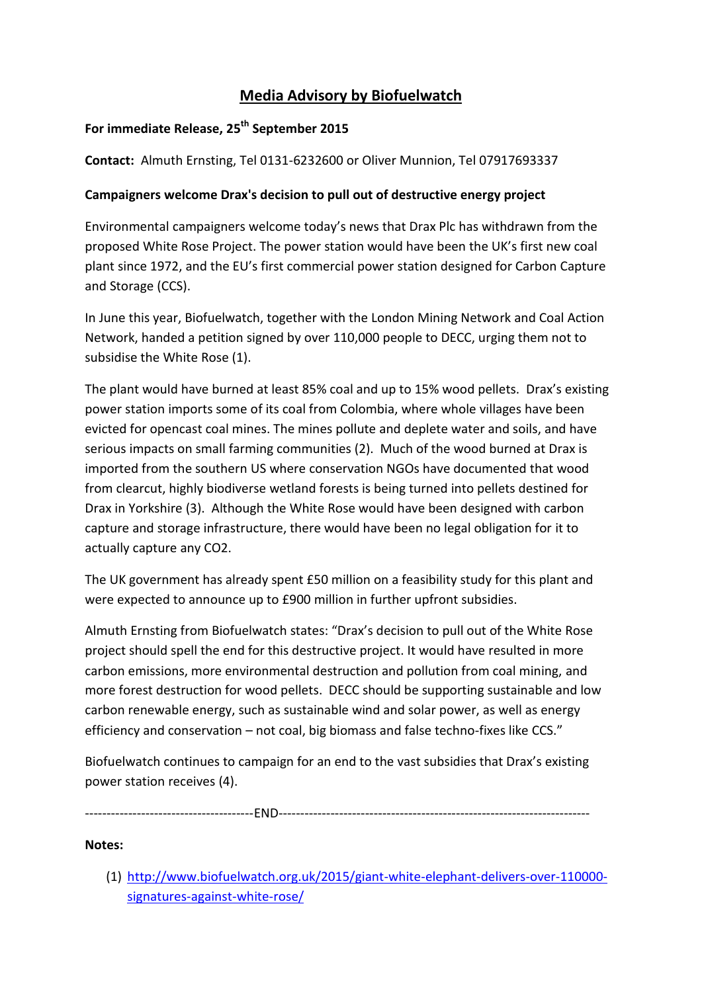## **Media Advisory by Biofuelwatch**

## **For immediate Release, 25th September 2015**

**Contact:** Almuth Ernsting, Tel 0131-6232600 or Oliver Munnion, Tel 07917693337

## **Campaigners welcome Drax's decision to pull out of destructive energy project**

Environmental campaigners welcome today's news that Drax Plc has withdrawn from the proposed White Rose Project. The power station would have been the UK's first new coal plant since 1972, and the EU's first commercial power station designed for Carbon Capture and Storage (CCS).

In June this year, Biofuelwatch, together with the London Mining Network and Coal Action Network, handed a petition signed by over 110,000 people to DECC, urging them not to subsidise the White Rose (1).

The plant would have burned at least 85% coal and up to 15% wood pellets. Drax's existing power station imports some of its coal from Colombia, where whole villages have been evicted for opencast coal mines. The mines pollute and deplete water and soils, and have serious impacts on small farming communities (2). Much of the wood burned at Drax is imported from the southern US where conservation NGOs have documented that wood from clearcut, highly biodiverse wetland forests is being turned into pellets destined for Drax in Yorkshire (3). Although the White Rose would have been designed with carbon capture and storage infrastructure, there would have been no legal obligation for it to actually capture any CO2.

The UK government has already spent £50 million on a feasibility study for this plant and were expected to announce up to £900 million in further upfront subsidies.

Almuth Ernsting from Biofuelwatch states: "Drax's decision to pull out of the White Rose project should spell the end for this destructive project. It would have resulted in more carbon emissions, more environmental destruction and pollution from coal mining, and more forest destruction for wood pellets. DECC should be supporting sustainable and low carbon renewable energy, such as sustainable wind and solar power, as well as energy efficiency and conservation – not coal, big biomass and false techno-fixes like CCS."

Biofuelwatch continues to campaign for an end to the vast subsidies that Drax's existing power station receives (4).

---------------------------------------END------------------------------------------------------------------------

## **Notes:**

(1) [http://www.biofuelwatch.org.uk/2015/giant-white-elephant-delivers-over-110000](http://www.biofuelwatch.org.uk/2015/giant-white-elephant-delivers-over-110000-signatures-against-white-rose/) [signatures-against-white-rose/](http://www.biofuelwatch.org.uk/2015/giant-white-elephant-delivers-over-110000-signatures-against-white-rose/)